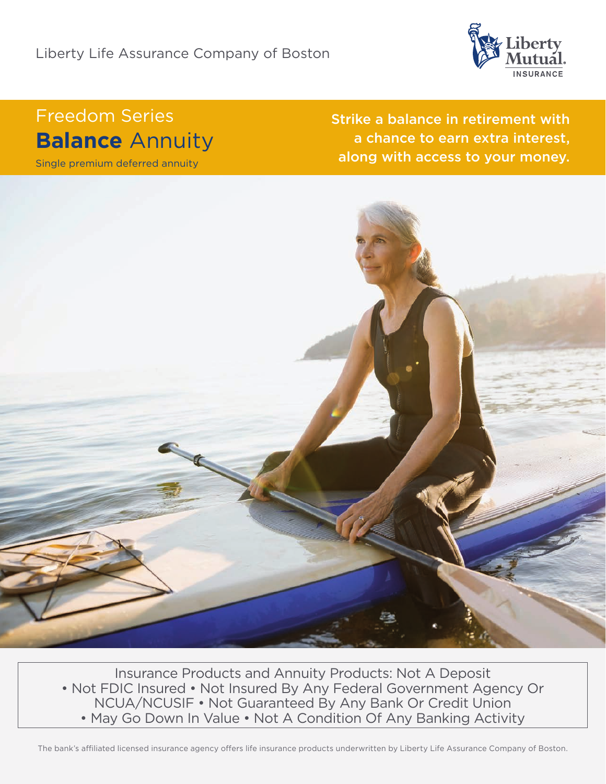

# Freedom Series **Balance** Annuity

Single premium deferred annuity

Strike a balance in retirement with a chance to earn extra interest, along with access to your money.



Insurance Products and Annuity Products: Not A Deposit • Not FDIC Insured • Not Insured By Any Federal Government Agency Or NCUA/NCUSIF • Not Guaranteed By Any Bank Or Credit Union • May Go Down In Value • Not A Condition Of Any Banking Activity

The bank's affiliated licensed insurance agency offers life insurance products underwritten by Liberty Life Assurance Company of Boston.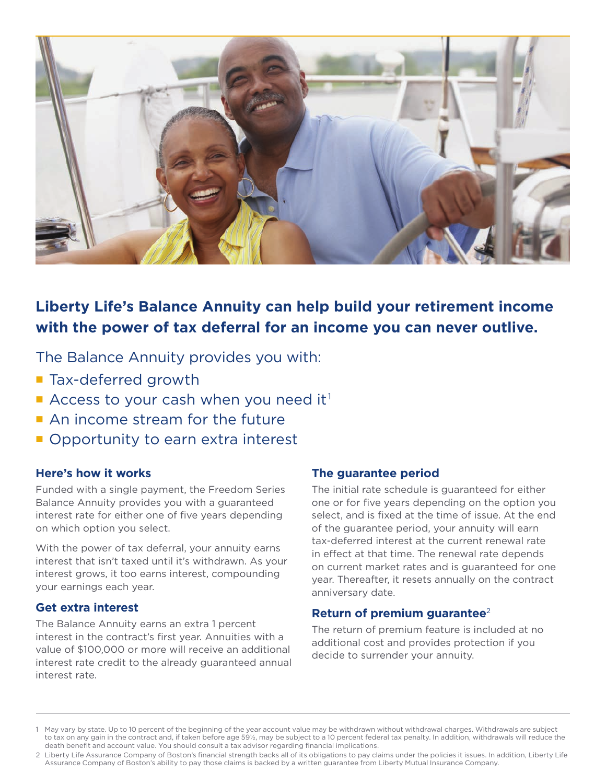

# **Liberty Life's Balance Annuity can help build your retirement income with the power of tax deferral for an income you can never outlive.**

The Balance Annuity provides you with:

- Tax-deferred growth
- Access to your cash when you need it<sup>1</sup>
- An income stream for the future
- Opportunity to earn extra interest

# **Here's how it works**

Funded with a single payment, the Freedom Series Balance Annuity provides you with a guaranteed interest rate for either one of five years depending on which option you select.

With the power of tax deferral, your annuity earns interest that isn't taxed until it's withdrawn. As your interest grows, it too earns interest, compounding your earnings each year.

## **Get extra interest**

The Balance Annuity earns an extra 1 percent interest in the contract's first year. Annuities with a value of \$100,000 or more will receive an additional interest rate credit to the already guaranteed annual interest rate.

# **The guarantee period**

The initial rate schedule is guaranteed for either one or for five years depending on the option you select, and is fixed at the time of issue. At the end of the guarantee period, your annuity will earn tax-deferred interest at the current renewal rate in effect at that time. The renewal rate depends on current market rates and is guaranteed for one year. Thereafter, it resets annually on the contract anniversary date.

## **Return of premium guarantee**<sup>2</sup>

The return of premium feature is included at no additional cost and provides protection if you decide to surrender your annuity.

<sup>1</sup> May vary by state. Up to 10 percent of the beginning of the year account value may be withdrawn without withdrawal charges. Withdrawals are subject to tax on any gain in the contract and, if taken before age 59½, may be subject to a 10 percent federal tax penalty. In addition, withdrawals will reduce the death benefit and account value. You should consult a tax advisor regarding financial implications.

<sup>2</sup> Liberty Life Assurance Company of Boston's financial strength backs all of its obligations to pay claims under the policies it issues. In addition, Liberty Life Assurance Company of Boston's ability to pay those claims is backed by a written guarantee from Liberty Mutual Insurance Company.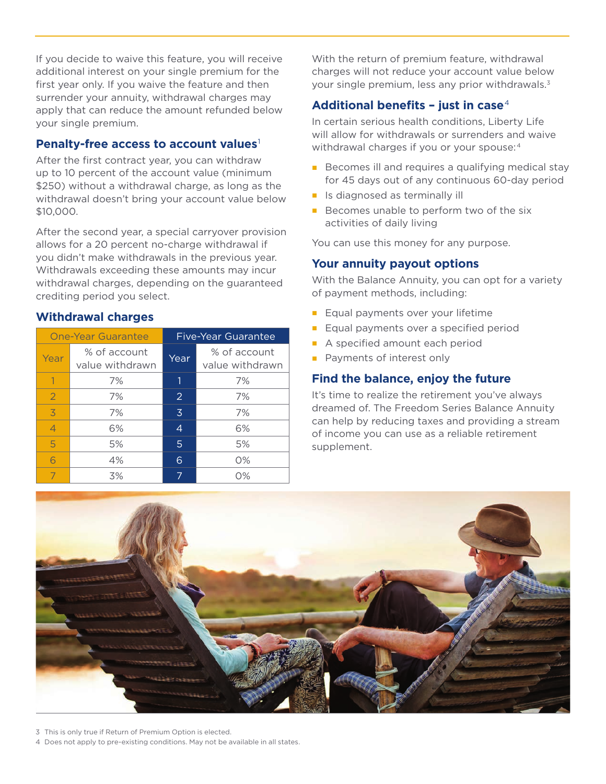If you decide to waive this feature, you will receive additional interest on your single premium for the first year only. If you waive the feature and then surrender your annuity, withdrawal charges may apply that can reduce the amount refunded below your single premium.

#### **Penalty-free access to account values**<sup>1</sup>

After the first contract year, you can withdraw up to 10 percent of the account value (minimum \$250) without a withdrawal charge, as long as the withdrawal doesn't bring your account value below \$10,000.

After the second year, a special carryover provision allows for a 20 percent no-charge withdrawal if you didn't make withdrawals in the previous year. Withdrawals exceeding these amounts may incur withdrawal charges, depending on the guaranteed crediting period you select.

#### **Withdrawal charges**

| <b>One-Year Guarantee</b> |                                 | <b>Five-Year Guarantee</b> |                                 |
|---------------------------|---------------------------------|----------------------------|---------------------------------|
| Year                      | % of account<br>value withdrawn | Year                       | % of account<br>value withdrawn |
|                           | 7%                              |                            | 7%                              |
| $\overline{2}$            | 7%                              | $\overline{2}$             | 7%                              |
| $\overline{3}$            | 7%                              | $\overline{3}$             | 7%                              |
| $\overline{4}$            | 6%                              | $\overline{4}$             | 6%                              |
| 5                         | 5%                              | 5                          | 5%                              |
| 6                         | 4%                              | 6                          | $O\%$                           |
|                           | 3%                              | 7                          | 0%                              |

With the return of premium feature, withdrawal charges will not reduce your account value below your single premium, less any prior withdrawals.<sup>3</sup>

# **Additional benefits – just in case**<sup>4</sup>

In certain serious health conditions, Liberty Life will allow for withdrawals or surrenders and waive withdrawal charges if you or your spouse:<sup>4</sup>

- Becomes ill and requires a qualifying medical stay for 45 days out of any continuous 60-day period
- Is diagnosed as terminally ill
- Becomes unable to perform two of the six activities of daily living

You can use this money for any purpose.

#### **Your annuity payout options**

With the Balance Annuity, you can opt for a variety of payment methods, including:

- Equal payments over your lifetime
- Equal payments over a specified period
- A specified amount each period
- Payments of interest only

#### **Find the balance, enjoy the future**

It's time to realize the retirement you've always dreamed of. The Freedom Series Balance Annuity can help by reducing taxes and providing a stream of income you can use as a reliable retirement supplement.



3 This is only true if Return of Premium Option is elected.

4 Does not apply to pre-existing conditions. May not be available in all states.